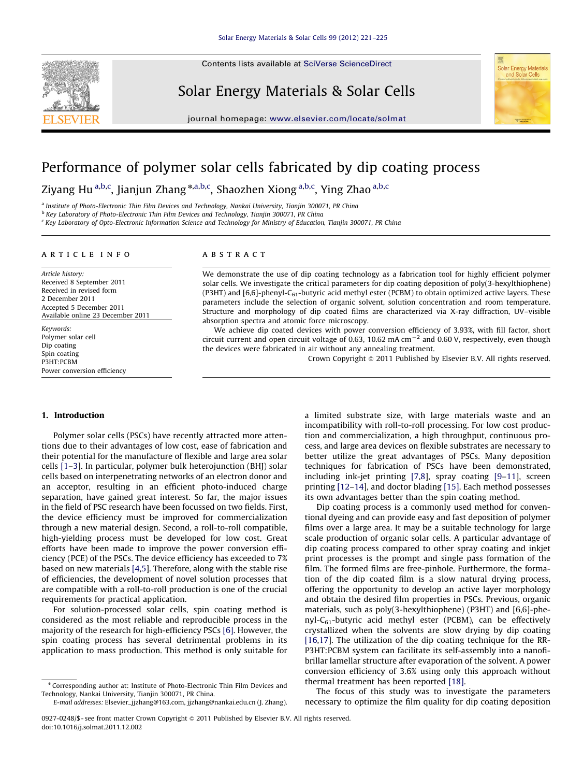Contents lists available at [SciVerse ScienceDirect](www.elsevier.com/locate/solmat)

Solar Energy Materials & Solar Cells



journal homepage: <www.elsevier.com/locate/solmat>

# Performance of polymer solar cells fabricated by dip coating process

Ziyang Hu<sup>a,b,c</sup>, Jianjun Zhang \*<sup>,a,b,c</sup>, Shaozhen Xiong <sup>a,b,c</sup>, Ying Zhao <sup>a,b,c</sup>

<sup>a</sup> Institute of Photo-Electronic Thin Film Devices and Technology, Nankai University, Tianjin 300071, PR China

<sup>b</sup> Key Laboratory of Photo-Electronic Thin Film Devices and Technology, Tianjin 300071, PR China

<sup>c</sup> Key Laboratory of Opto-Electronic Information Science and Technology for Ministry of Education, Tianjin 300071, PR China

### article info

Article history: Received 8 September 2011 Received in revised form 2 December 2011 Accepted 5 December 2011 Available online 23 December 2011

Keywords: Polymer solar cell Dip coating Spin coating P3HT:PCBM Power conversion efficiency

## ABSTRACT

We demonstrate the use of dip coating technology as a fabrication tool for highly efficient polymer solar cells. We investigate the critical parameters for dip coating deposition of poly(3-hexylthiophene) (P3HT) and [6,6]-phenyl-C<sub>61</sub>-butyric acid methyl ester (PCBM) to obtain optimized active layers. These parameters include the selection of organic solvent, solution concentration and room temperature. Structure and morphology of dip coated films are characterized via X-ray diffraction, UV–visible absorption spectra and atomic force microscopy.

We achieve dip coated devices with power conversion efficiency of 3.93%, with fill factor, short circuit current and open circuit voltage of 0.63, 10.62 mA  $cm^{-2}$  and 0.60 V, respectively, even though the devices were fabricated in air without any annealing treatment.

Crown Copyright © 2011 Published by Elsevier B.V. All rights reserved.

#### 1. Introduction

Polymer solar cells (PSCs) have recently attracted more attentions due to their advantages of low cost, ease of fabrication and their potential for the manufacture of flexible and large area solar cells [\[1–3\]](#page--1-0). In particular, polymer bulk heterojunction (BHJ) solar cells based on interpenetrating networks of an electron donor and an acceptor, resulting in an efficient photo-induced charge separation, have gained great interest. So far, the major issues in the field of PSC research have been focussed on two fields. First, the device efficiency must be improved for commercialization through a new material design. Second, a roll-to-roll compatible, high-yielding process must be developed for low cost. Great efforts have been made to improve the power conversion efficiency (PCE) of the PSCs. The device efficiency has exceeded to 7% based on new materials [\[4,5](#page--1-0)]. Therefore, along with the stable rise of efficiencies, the development of novel solution processes that are compatible with a roll-to-roll production is one of the crucial requirements for practical application.

For solution-processed solar cells, spin coating method is considered as the most reliable and reproducible process in the majority of the research for high-efficiency PSCs [\[6\].](#page--1-0) However, the spin coating process has several detrimental problems in its application to mass production. This method is only suitable for a limited substrate size, with large materials waste and an incompatibility with roll-to-roll processing. For low cost production and commercialization, a high throughput, continuous process, and large area devices on flexible substrates are necessary to better utilize the great advantages of PSCs. Many deposition techniques for fabrication of PSCs have been demonstrated, including ink-jet printing [\[7](#page--1-0),[8\]](#page--1-0), spray coating [\[9–11](#page--1-0)], screen printing [\[12–14\]](#page--1-0), and doctor blading [\[15\]](#page--1-0). Each method possesses its own advantages better than the spin coating method.

Dip coating process is a commonly used method for conventional dyeing and can provide easy and fast deposition of polymer films over a large area. It may be a suitable technology for large scale production of organic solar cells. A particular advantage of dip coating process compared to other spray coating and inkjet print processes is the prompt and single pass formation of the film. The formed films are free-pinhole. Furthermore, the formation of the dip coated film is a slow natural drying process, offering the opportunity to develop an active layer morphology and obtain the desired film properties in PSCs. Previous, organic materials, such as poly(3-hexylthiophene) (P3HT) and [6,6]-phenyl-C<sub>61</sub>-butyric acid methyl ester (PCBM), can be effectively crystallized when the solvents are slow drying by dip coating [\[16,17\]](#page--1-0). The utilization of the dip coating technique for the RR-P3HT:PCBM system can facilitate its self-assembly into a nanofibrillar lamellar structure after evaporation of the solvent. A power conversion efficiency of 3.6% using only this approach without thermal treatment has been reported [\[18\]](#page--1-0).

The focus of this study was to investigate the parameters necessary to optimize the film quality for dip coating deposition

<sup>n</sup> Corresponding author at: Institute of Photo-Electronic Thin Film Devices and Technology, Nankai University, Tianjin 300071, PR China.

E-mail addresses: [Elsevier\\_jjzhang@163.com](mailto:Elsevier_jjzhang@163.com), [jjzhang@nankai.edu.cn \(J. Zhang\).](mailto:jjzhang@nankai.edu.cn)

<sup>0927-0248/\$ -</sup> see front matter Crown Copyright @ 2011 Published by Elsevier B.V. All rights reserved. doi:[10.1016/j.solmat.2011.12.002](dx.doi.org/10.1016/j.solmat.2011.12.002)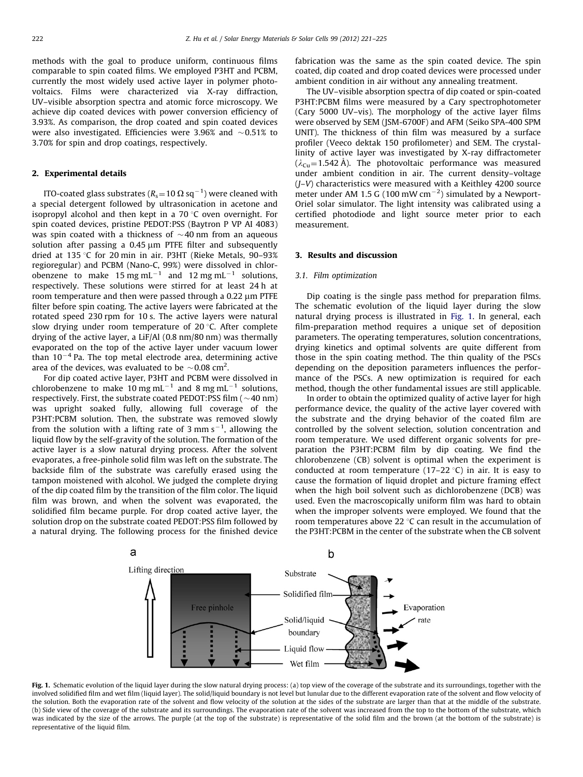methods with the goal to produce uniform, continuous films comparable to spin coated films. We employed P3HT and PCBM, currently the most widely used active layer in polymer photovoltaics. Films were characterized via X-ray diffraction, UV–visible absorption spectra and atomic force microscopy. We achieve dip coated devices with power conversion efficiency of 3.93%. As comparison, the drop coated and spin coated devices were also investigated. Efficiencies were 3.96% and  $\sim 0.51\%$  to 3.70% for spin and drop coatings, respectively.

#### 2. Experimental details

ITO-coated glass substrates ( $R_{\rm s}\rm{=10\,\Omega\,sq^{-1}}$ ) were cleaned with a special detergent followed by ultrasonication in acetone and isopropyl alcohol and then kept in a  $70^{\circ}$ C oven overnight. For spin coated devices, pristine PEDOT:PSS (Baytron P VP AI 4083) was spin coated with a thickness of  $\sim$ 40 nm from an aqueous solution after passing a  $0.45 \mu m$  PTFE filter and subsequently dried at 135 °C for 20 min in air. P3HT (Rieke Metals, 90–93% regioregular) and PCBM (Nano-C, 99%) were dissolved in chlorobenzene to make 15 mg mL<sup>-1</sup> and 12 mg mL<sup>-1</sup> solutions, respectively. These solutions were stirred for at least 24 h at room temperature and then were passed through a  $0.22 \mu m$  PTFE filter before spin coating. The active layers were fabricated at the rotated speed 230 rpm for 10 s. The active layers were natural slow drying under room temperature of  $20^{\circ}$ C. After complete drying of the active layer, a LiF/Al (0.8 nm/80 nm) was thermally evaporated on the top of the active layer under vacuum lower than  $10^{-4}$  Pa. The top metal electrode area, determining active area of the devices, was evaluated to be  $\sim$ 0.08 cm<sup>2</sup>.

For dip coated active layer, P3HT and PCBM were dissolved in chlorobenzene to make 10 mg mL<sup>-1</sup> and 8 mg mL<sup>-1</sup> solutions, respectively. First, the substrate coated PEDOT:PSS film ( $\sim$ 40 nm) was upright soaked fully, allowing full coverage of the P3HT:PCBM solution. Then, the substrate was removed slowly from the solution with a lifting rate of 3 mm  $s^{-1}$ , allowing the liquid flow by the self-gravity of the solution. The formation of the active layer is a slow natural drying process. After the solvent evaporates, a free-pinhole solid film was left on the substrate. The backside film of the substrate was carefully erased using the tampon moistened with alcohol. We judged the complete drying of the dip coated film by the transition of the film color. The liquid film was brown, and when the solvent was evaporated, the solidified film became purple. For drop coated active layer, the solution drop on the substrate coated PEDOT:PSS film followed by a natural drying. The following process for the finished device fabrication was the same as the spin coated device. The spin coated, dip coated and drop coated devices were processed under ambient condition in air without any annealing treatment.

The UV–visible absorption spectra of dip coated or spin-coated P3HT:PCBM films were measured by a Cary spectrophotometer (Cary 5000 UV–vis). The morphology of the active layer films were observed by SEM (JSM-6700F) and AFM (Seiko SPA-400 SPM UNIT). The thickness of thin film was measured by a surface profiler (Veeco dektak 150 profilometer) and SEM. The crystallinity of active layer was investigated by X-ray diffractometer  $(\lambda_{\text{Cu}}=1.542 \text{ Å})$ . The photovoltaic performance was measured under ambient condition in air. The current density–voltage (J–V) characteristics were measured with a Keithley 4200 source meter under AM 1.5 G (100 mW  $cm^{-2}$ ) simulated by a Newport-Oriel solar simulator. The light intensity was calibrated using a certified photodiode and light source meter prior to each measurement.

#### 3. Results and discussion

#### 3.1. Film optimization

Dip coating is the single pass method for preparation films. The schematic evolution of the liquid layer during the slow natural drying process is illustrated in Fig. 1. In general, each film-preparation method requires a unique set of deposition parameters. The operating temperatures, solution concentrations, drying kinetics and optimal solvents are quite different from those in the spin coating method. The thin quality of the PSCs depending on the deposition parameters influences the performance of the PSCs. A new optimization is required for each method, though the other fundamental issues are still applicable.

In order to obtain the optimized quality of active layer for high performance device, the quality of the active layer covered with the substrate and the drying behavior of the coated film are controlled by the solvent selection, solution concentration and room temperature. We used different organic solvents for preparation the P3HT:PCBM film by dip coating. We find the chlorobenzene (CB) solvent is optimal when the experiment is conducted at room temperature  $(17-22 \degree C)$  in air. It is easy to cause the formation of liquid droplet and picture framing effect when the high boil solvent such as dichlorobenzene (DCB) was used. Even the macroscopically uniform film was hard to obtain when the improper solvents were employed. We found that the room temperatures above 22  $\degree$ C can result in the accumulation of the P3HT:PCBM in the center of the substrate when the CB solvent



Fig. 1. Schematic evolution of the liquid layer during the slow natural drying process: (a) top view of the coverage of the substrate and its surroundings, together with the involved solidified film and wet film (liquid layer). The solid/liquid boundary is not level but lunular due to the different evaporation rate of the solvent and flow velocity of the solution. Both the evaporation rate of the solvent and flow velocity of the solution at the sides of the substrate are larger than that at the middle of the substrate. (b) Side view of the coverage of the substrate and its surroundings. The evaporation rate of the solvent was increased from the top to the bottom of the substrate, which was indicated by the size of the arrows. The purple (at the top of the substrate) is representative of the solid film and the brown (at the bottom of the substrate) is representative of the liquid film.